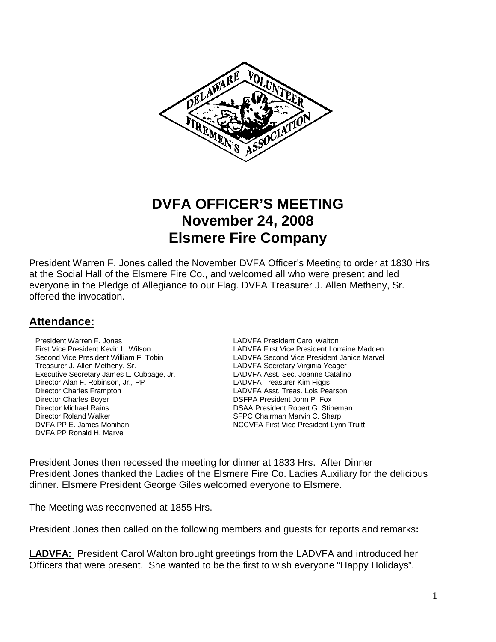

# **DVFA OFFICER'S MEETING November 24, 2008 Elsmere Fire Company**

President Warren F. Jones called the November DVFA Officer's Meeting to order at 1830 Hrs at the Social Hall of the Elsmere Fire Co., and welcomed all who were present and led everyone in the Pledge of Allegiance to our Flag. DVFA Treasurer J. Allen Metheny, Sr. offered the invocation.

## **Attendance:**

**President Warren F. Jones LADVFA President Carol Walton**  Treasurer J. Allen Metheny, Sr. LADVFA Secretary Virginia Yeager Executive Secretary James L. Cubbage, Jr. <br>Director Alan F. Robinson, Jr., PP **LADVFA Treasurer Kim Figgs** Director Alan F. Robinson, Jr., PP Director Charles Frampton LADVFA Asst. Treas. Lois Pearson Director Charles Boyer **DIRECT CONSTRANTS IN THE SET OF A PRESIDENT PROOF** DSFPA President John P. Fox **Director Michael Rains <b>DIRECTION** DSAA President Robert G. Stineman **Director Roland Walker SEPC Chairman Marvin C. Sharp<br>
DVFA PP E. James Monihan State State State State State State State State State State State State State State S** DVFA PP Ronald H. Marvel

 First Vice President Kevin L. Wilson LADVFA First Vice President Lorraine Madden Second Vice President William F. Tobin Land Capaca LADVFA Second Vice President Janice Marvel NCCVFA First Vice President Lynn Truitt

President Jones then recessed the meeting for dinner at 1833 Hrs. After Dinner President Jones thanked the Ladies of the Elsmere Fire Co. Ladies Auxiliary for the delicious dinner. Elsmere President George Giles welcomed everyone to Elsmere.

The Meeting was reconvened at 1855 Hrs.

President Jones then called on the following members and guests for reports and remarks**:** 

**LADVFA:** President Carol Walton brought greetings from the LADVFA and introduced her Officers that were present. She wanted to be the first to wish everyone "Happy Holidays".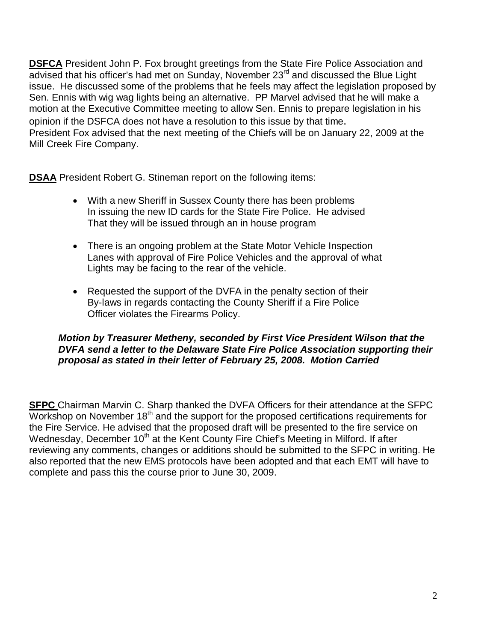**DSFCA** President John P. Fox brought greetings from the State Fire Police Association and advised that his officer's had met on Sunday, November 23<sup>rd</sup> and discussed the Blue Light issue. He discussed some of the problems that he feels may affect the legislation proposed by Sen. Ennis with wig wag lights being an alternative. PP Marvel advised that he will make a motion at the Executive Committee meeting to allow Sen. Ennis to prepare legislation in his opinion if the DSFCA does not have a resolution to this issue by that time. President Fox advised that the next meeting of the Chiefs will be on January 22, 2009 at the Mill Creek Fire Company.

**DSAA** President Robert G. Stineman report on the following items:

- With a new Sheriff in Sussex County there has been problems In issuing the new ID cards for the State Fire Police. He advised That they will be issued through an in house program
- There is an ongoing problem at the State Motor Vehicle Inspection Lanes with approval of Fire Police Vehicles and the approval of what Lights may be facing to the rear of the vehicle.
- Requested the support of the DVFA in the penalty section of their By-laws in regards contacting the County Sheriff if a Fire Police Officer violates the Firearms Policy.

#### **Motion by Treasurer Metheny, seconded by First Vice President Wilson that the DVFA send a letter to the Delaware State Fire Police Association supporting their proposal as stated in their letter of February 25, 2008. Motion Carried**

**SFPC** Chairman Marvin C. Sharp thanked the DVFA Officers for their attendance at the SFPC Workshop on November  $18<sup>th</sup>$  and the support for the proposed certifications requirements for the Fire Service. He advised that the proposed draft will be presented to the fire service on Wednesday, December 10<sup>th</sup> at the Kent County Fire Chief's Meeting in Milford. If after reviewing any comments, changes or additions should be submitted to the SFPC in writing. He also reported that the new EMS protocols have been adopted and that each EMT will have to complete and pass this the course prior to June 30, 2009.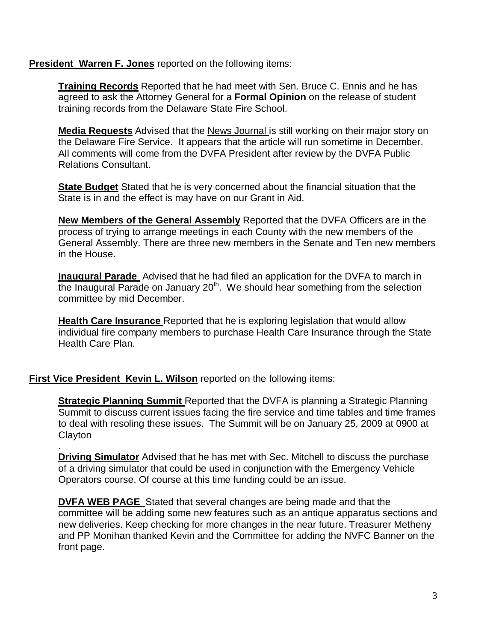#### **President Warren F. Jones** reported on the following items:

**Training Records** Reported that he had meet with Sen. Bruce C. Ennis and he has agreed to ask the Attorney General for a **Formal Opinion** on the release of student training records from the Delaware State Fire School.

**Media Requests** Advised that the News Journal is still working on their major story on the Delaware Fire Service. It appears that the article will run sometime in December. All comments will come from the DVFA President after review by the DVFA Public Relations Consultant.

**State Budget** Stated that he is very concerned about the financial situation that the State is in and the effect is may have on our Grant in Aid.

**New Members of the General Assembly** Reported that the DVFA Officers are in the process of trying to arrange meetings in each County with the new members of the General Assembly. There are three new members in the Senate and Ten new members in the House.

**Inaugural Parade** Advised that he had filed an application for the DVFA to march in the Inaugural Parade on January 20<sup>th</sup>. We should hear something from the selection committee by mid December.

**Health Care Insurance** Reported that he is exploring legislation that would allow individual fire company members to purchase Health Care Insurance through the State Health Care Plan.

#### **First Vice President Kevin L. Wilson** reported on the following items:

**Strategic Planning Summit** Reported that the DVFA is planning a Strategic Planning Summit to discuss current issues facing the fire service and time tables and time frames to deal with resoling these issues. The Summit will be on January 25, 2009 at 0900 at **Clayton** 

. **Driving Simulator** Advised that he has met with Sec. Mitchell to discuss the purchase of a driving simulator that could be used in conjunction with the Emergency Vehicle Operators course. Of course at this time funding could be an issue.

**DVFA WEB PAGE** Stated that several changes are being made and that the committee will be adding some new features such as an antique apparatus sections and new deliveries. Keep checking for more changes in the near future. Treasurer Metheny and PP Monihan thanked Kevin and the Committee for adding the NVFC Banner on the front page.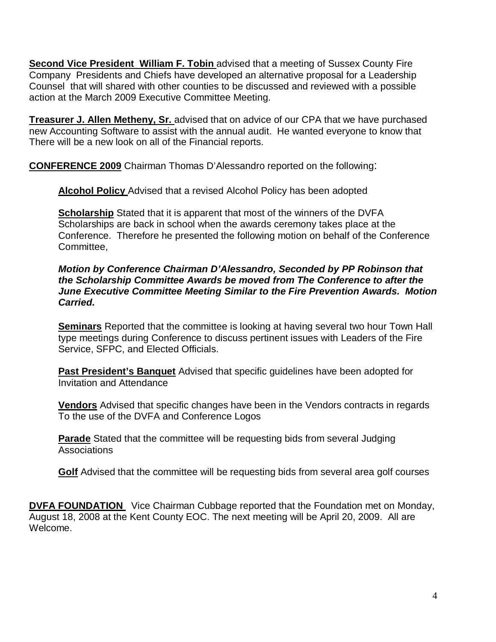**Second Vice President William F. Tobin** advised that a meeting of Sussex County Fire Company Presidents and Chiefs have developed an alternative proposal for a Leadership Counsel that will shared with other counties to be discussed and reviewed with a possible action at the March 2009 Executive Committee Meeting.

**Treasurer J. Allen Metheny, Sr.** advised that on advice of our CPA that we have purchased new Accounting Software to assist with the annual audit. He wanted everyone to know that There will be a new look on all of the Financial reports.

**CONFERENCE 2009** Chairman Thomas D'Alessandro reported on the following:

**Alcohol Policy** Advised that a revised Alcohol Policy has been adopted

**Scholarship** Stated that it is apparent that most of the winners of the DVFA Scholarships are back in school when the awards ceremony takes place at the Conference. Therefore he presented the following motion on behalf of the Conference Committee,

**Motion by Conference Chairman D'Alessandro, Seconded by PP Robinson that the Scholarship Committee Awards be moved from The Conference to after the June Executive Committee Meeting Similar to the Fire Prevention Awards. Motion Carried.** 

**Seminars** Reported that the committee is looking at having several two hour Town Hall type meetings during Conference to discuss pertinent issues with Leaders of the Fire Service, SFPC, and Elected Officials.

**Past President's Banquet** Advised that specific guidelines have been adopted for Invitation and Attendance

**Vendors** Advised that specific changes have been in the Vendors contracts in regards To the use of the DVFA and Conference Logos

**Parade** Stated that the committee will be requesting bids from several Judging **Associations** 

**Golf** Advised that the committee will be requesting bids from several area golf courses

**DVFA FOUNDATION** Vice Chairman Cubbage reported that the Foundation met on Monday, August 18, 2008 at the Kent County EOC. The next meeting will be April 20, 2009. All are Welcome.